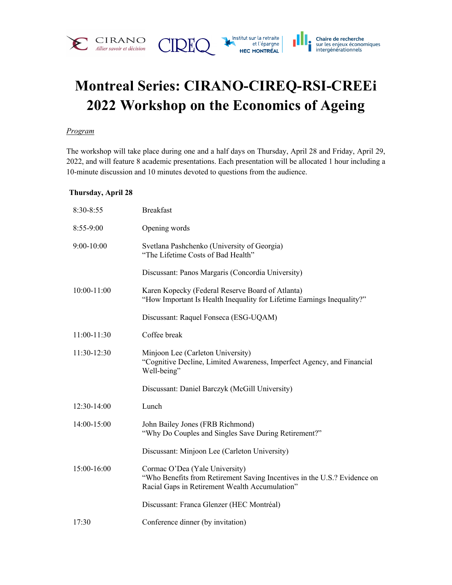

# **Montreal Series: CIRANO-CIREQ-RSI-CREEi 2022 Workshop on the Economics of Ageing**

#### *Program*

The workshop will take place during one and a half days on Thursday, April 28 and Friday, April 29, 2022, and will feature 8 academic presentations. Each presentation will be allocated 1 hour including a 10-minute discussion and 10 minutes devoted to questions from the audience.

### **Thursday, April 28**

| 8:30-8:55     | <b>Breakfast</b>                                                                                                                                             |
|---------------|--------------------------------------------------------------------------------------------------------------------------------------------------------------|
| 8:55-9:00     | Opening words                                                                                                                                                |
| 9:00-10:00    | Svetlana Pashchenko (University of Georgia)<br>"The Lifetime Costs of Bad Health"                                                                            |
|               | Discussant: Panos Margaris (Concordia University)                                                                                                            |
| $10:00-11:00$ | Karen Kopecky (Federal Reserve Board of Atlanta)<br>"How Important Is Health Inequality for Lifetime Earnings Inequality?"                                   |
|               | Discussant: Raquel Fonseca (ESG-UQAM)                                                                                                                        |
| $11:00-11:30$ | Coffee break                                                                                                                                                 |
| 11:30-12:30   | Minjoon Lee (Carleton University)<br>"Cognitive Decline, Limited Awareness, Imperfect Agency, and Financial<br>Well-being"                                   |
|               | Discussant: Daniel Barczyk (McGill University)                                                                                                               |
| 12:30-14:00   | Lunch                                                                                                                                                        |
| 14:00-15:00   | John Bailey Jones (FRB Richmond)<br>"Why Do Couples and Singles Save During Retirement?"                                                                     |
|               | Discussant: Minjoon Lee (Carleton University)                                                                                                                |
| 15:00-16:00   | Cormac O'Dea (Yale University)<br>"Who Benefits from Retirement Saving Incentives in the U.S.? Evidence on<br>Racial Gaps in Retirement Wealth Accumulation" |
|               | Discussant: Franca Glenzer (HEC Montréal)                                                                                                                    |
| 17:30         | Conference dinner (by invitation)                                                                                                                            |